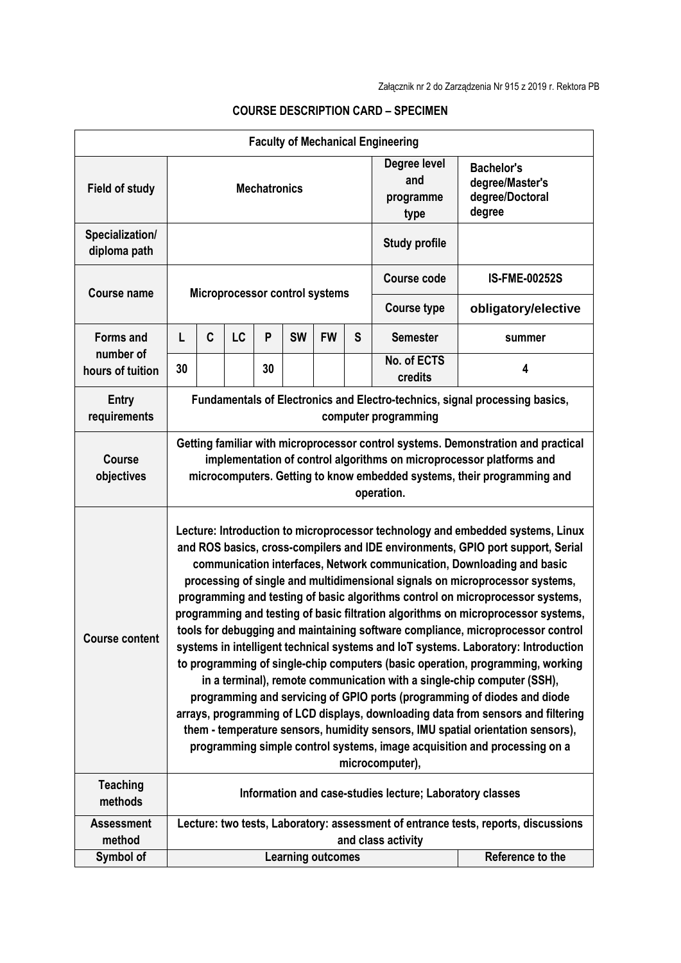|                                                   |                                                                                                                                                                                                                                                                                                                                                                                                                                                                                                                                                                                                                                                                                                                                                                                                                                                                                                                                                                                                                                                                                                                                                                                             |             |    |    |                          |           |   | <b>Faculty of Mechanical Engineering</b> |                                                                   |  |  |
|---------------------------------------------------|---------------------------------------------------------------------------------------------------------------------------------------------------------------------------------------------------------------------------------------------------------------------------------------------------------------------------------------------------------------------------------------------------------------------------------------------------------------------------------------------------------------------------------------------------------------------------------------------------------------------------------------------------------------------------------------------------------------------------------------------------------------------------------------------------------------------------------------------------------------------------------------------------------------------------------------------------------------------------------------------------------------------------------------------------------------------------------------------------------------------------------------------------------------------------------------------|-------------|----|----|--------------------------|-----------|---|------------------------------------------|-------------------------------------------------------------------|--|--|
| <b>Field of study</b>                             | <b>Mechatronics</b>                                                                                                                                                                                                                                                                                                                                                                                                                                                                                                                                                                                                                                                                                                                                                                                                                                                                                                                                                                                                                                                                                                                                                                         |             |    |    |                          |           |   | Degree level<br>and<br>programme<br>type | <b>Bachelor's</b><br>degree/Master's<br>degree/Doctoral<br>degree |  |  |
| Specialization/<br>diploma path                   |                                                                                                                                                                                                                                                                                                                                                                                                                                                                                                                                                                                                                                                                                                                                                                                                                                                                                                                                                                                                                                                                                                                                                                                             |             |    |    |                          |           |   | <b>Study profile</b>                     |                                                                   |  |  |
| <b>Course name</b>                                | Microprocessor control systems                                                                                                                                                                                                                                                                                                                                                                                                                                                                                                                                                                                                                                                                                                                                                                                                                                                                                                                                                                                                                                                                                                                                                              |             |    |    |                          |           |   | <b>Course code</b>                       | <b>IS-FME-00252S</b>                                              |  |  |
|                                                   |                                                                                                                                                                                                                                                                                                                                                                                                                                                                                                                                                                                                                                                                                                                                                                                                                                                                                                                                                                                                                                                                                                                                                                                             |             |    |    |                          |           |   | <b>Course type</b>                       | obligatory/elective                                               |  |  |
| <b>Forms and</b><br>number of<br>hours of tuition | L                                                                                                                                                                                                                                                                                                                                                                                                                                                                                                                                                                                                                                                                                                                                                                                                                                                                                                                                                                                                                                                                                                                                                                                           | $\mathbf c$ | LC | P  | <b>SW</b>                | <b>FW</b> | S | <b>Semester</b>                          | summer                                                            |  |  |
|                                                   | 30                                                                                                                                                                                                                                                                                                                                                                                                                                                                                                                                                                                                                                                                                                                                                                                                                                                                                                                                                                                                                                                                                                                                                                                          |             |    | 30 |                          |           |   | No. of ECTS<br>credits                   | 4                                                                 |  |  |
| <b>Entry</b><br>requirements                      | Fundamentals of Electronics and Electro-technics, signal processing basics,<br>computer programming                                                                                                                                                                                                                                                                                                                                                                                                                                                                                                                                                                                                                                                                                                                                                                                                                                                                                                                                                                                                                                                                                         |             |    |    |                          |           |   |                                          |                                                                   |  |  |
| <b>Course</b><br>objectives                       | Getting familiar with microprocessor control systems. Demonstration and practical<br>implementation of control algorithms on microprocessor platforms and<br>microcomputers. Getting to know embedded systems, their programming and<br>operation.                                                                                                                                                                                                                                                                                                                                                                                                                                                                                                                                                                                                                                                                                                                                                                                                                                                                                                                                          |             |    |    |                          |           |   |                                          |                                                                   |  |  |
| <b>Course content</b>                             | Lecture: Introduction to microprocessor technology and embedded systems, Linux<br>and ROS basics, cross-compilers and IDE environments, GPIO port support, Serial<br>communication interfaces, Network communication, Downloading and basic<br>processing of single and multidimensional signals on microprocessor systems,<br>programming and testing of basic algorithms control on microprocessor systems,<br>programming and testing of basic filtration algorithms on microprocessor systems,<br>tools for debugging and maintaining software compliance, microprocessor control<br>systems in intelligent technical systems and IoT systems. Laboratory: Introduction<br>to programming of single-chip computers (basic operation, programming, working<br>in a terminal), remote communication with a single-chip computer (SSH),<br>programming and servicing of GPIO ports (programming of diodes and diode<br>arrays, programming of LCD displays, downloading data from sensors and filtering<br>them - temperature sensors, humidity sensors, IMU spatial orientation sensors),<br>programming simple control systems, image acquisition and processing on a<br>microcomputer), |             |    |    |                          |           |   |                                          |                                                                   |  |  |
| <b>Teaching</b><br>methods                        | Information and case-studies lecture; Laboratory classes                                                                                                                                                                                                                                                                                                                                                                                                                                                                                                                                                                                                                                                                                                                                                                                                                                                                                                                                                                                                                                                                                                                                    |             |    |    |                          |           |   |                                          |                                                                   |  |  |
| <b>Assessment</b><br>method                       | Lecture: two tests, Laboratory: assessment of entrance tests, reports, discussions<br>and class activity                                                                                                                                                                                                                                                                                                                                                                                                                                                                                                                                                                                                                                                                                                                                                                                                                                                                                                                                                                                                                                                                                    |             |    |    |                          |           |   |                                          |                                                                   |  |  |
| Symbol of                                         |                                                                                                                                                                                                                                                                                                                                                                                                                                                                                                                                                                                                                                                                                                                                                                                                                                                                                                                                                                                                                                                                                                                                                                                             |             |    |    | <b>Learning outcomes</b> |           |   | Reference to the                         |                                                                   |  |  |

## **COURSE DESCRIPTION CARD – SPECIMEN**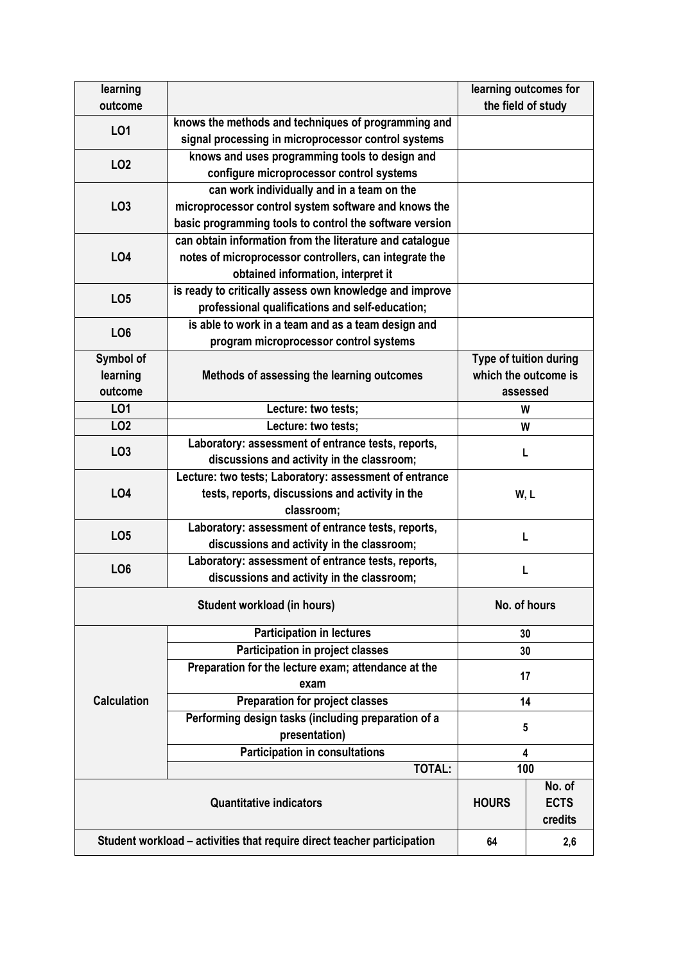| learning                                                                |                                                          | learning outcomes for  |  |  |
|-------------------------------------------------------------------------|----------------------------------------------------------|------------------------|--|--|
| outcome                                                                 |                                                          | the field of study     |  |  |
| L01                                                                     | knows the methods and techniques of programming and      |                        |  |  |
|                                                                         | signal processing in microprocessor control systems      |                        |  |  |
| LO <sub>2</sub>                                                         | knows and uses programming tools to design and           |                        |  |  |
|                                                                         | configure microprocessor control systems                 |                        |  |  |
| LO <sub>3</sub>                                                         | can work individually and in a team on the               |                        |  |  |
|                                                                         | microprocessor control system software and knows the     |                        |  |  |
|                                                                         | basic programming tools to control the software version  |                        |  |  |
|                                                                         | can obtain information from the literature and catalogue |                        |  |  |
| <b>LO4</b>                                                              | notes of microprocessor controllers, can integrate the   |                        |  |  |
|                                                                         | obtained information, interpret it                       |                        |  |  |
|                                                                         | is ready to critically assess own knowledge and improve  |                        |  |  |
| LO <sub>5</sub>                                                         | professional qualifications and self-education;          |                        |  |  |
|                                                                         | is able to work in a team and as a team design and       |                        |  |  |
| LO <sub>6</sub>                                                         | program microprocessor control systems                   |                        |  |  |
| Symbol of                                                               |                                                          | Type of tuition during |  |  |
| learning                                                                | Methods of assessing the learning outcomes               | which the outcome is   |  |  |
| outcome                                                                 |                                                          | assessed               |  |  |
| LO1                                                                     | Lecture: two tests;                                      | W                      |  |  |
| LO <sub>2</sub>                                                         | Lecture: two tests;                                      | W                      |  |  |
|                                                                         | Laboratory: assessment of entrance tests, reports,       | $\mathbf{I}$           |  |  |
| LO <sub>3</sub>                                                         | discussions and activity in the classroom;               |                        |  |  |
|                                                                         | Lecture: two tests; Laboratory: assessment of entrance   | W, L                   |  |  |
| <b>LO4</b>                                                              | tests, reports, discussions and activity in the          |                        |  |  |
|                                                                         | classroom;                                               |                        |  |  |
|                                                                         | Laboratory: assessment of entrance tests, reports,       |                        |  |  |
| LO <sub>5</sub>                                                         | discussions and activity in the classroom;               | L                      |  |  |
|                                                                         | Laboratory: assessment of entrance tests, reports,       |                        |  |  |
| LO <sub>6</sub>                                                         | discussions and activity in the classroom;               | L                      |  |  |
|                                                                         | No. of hours                                             |                        |  |  |
|                                                                         | Student workload (in hours)                              |                        |  |  |
|                                                                         | <b>Participation in lectures</b>                         | 30                     |  |  |
|                                                                         | Participation in project classes                         | 30                     |  |  |
|                                                                         | Preparation for the lecture exam; attendance at the      |                        |  |  |
|                                                                         | exam                                                     | 17                     |  |  |
| <b>Calculation</b>                                                      | <b>Preparation for project classes</b>                   | 14                     |  |  |
|                                                                         | Performing design tasks (including preparation of a      | 5<br>4                 |  |  |
|                                                                         | presentation)                                            |                        |  |  |
|                                                                         | <b>Participation in consultations</b>                    |                        |  |  |
|                                                                         | <b>TOTAL:</b>                                            | 100                    |  |  |
|                                                                         |                                                          | No. of                 |  |  |
|                                                                         | <b>HOURS</b>                                             | <b>ECTS</b>            |  |  |
|                                                                         |                                                          | credits                |  |  |
|                                                                         |                                                          |                        |  |  |
| Student workload – activities that require direct teacher participation | 64                                                       | 2,6                    |  |  |